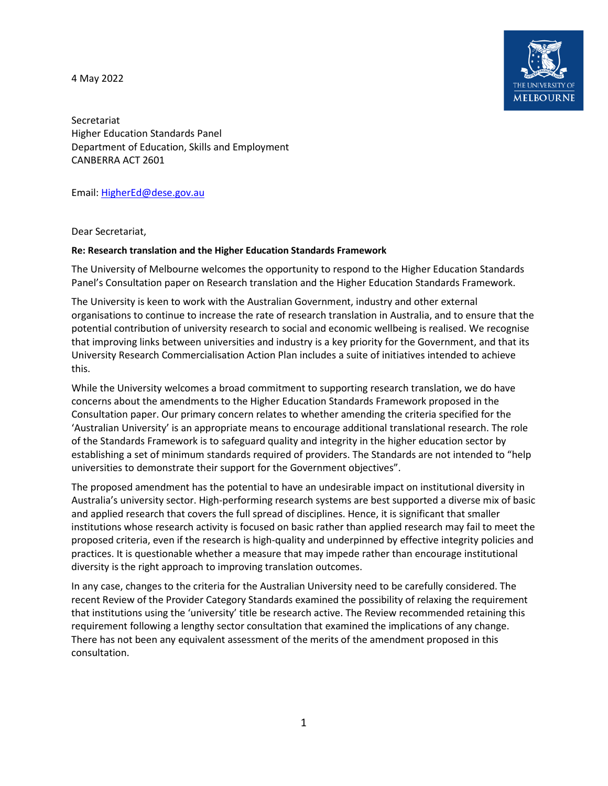4 May 2022



Secretariat Higher Education Standards Panel Department of Education, Skills and Employment CANBERRA ACT 2601

Email: [HigherEd@dese.gov.au](mailto:HigherEd@dese.gov.au)

Dear Secretariat,

## **Re: Research translation and the Higher Education Standards Framework**

The University of Melbourne welcomes the opportunity to respond to the Higher Education Standards Panel's Consultation paper on Research translation and the Higher Education Standards Framework.

The University is keen to work with the Australian Government, industry and other external organisations to continue to increase the rate of research translation in Australia, and to ensure that the potential contribution of university research to social and economic wellbeing is realised. We recognise that improving links between universities and industry is a key priority for the Government, and that its University Research Commercialisation Action Plan includes a suite of initiatives intended to achieve this.

While the University welcomes a broad commitment to supporting research translation, we do have concerns about the amendments to the Higher Education Standards Framework proposed in the Consultation paper. Our primary concern relates to whether amending the criteria specified for the 'Australian University' is an appropriate means to encourage additional translational research. The role of the Standards Framework is to safeguard quality and integrity in the higher education sector by establishing a set of minimum standards required of providers. The Standards are not intended to "help universities to demonstrate their support for the Government objectives".

The proposed amendment has the potential to have an undesirable impact on institutional diversity in Australia's university sector. High-performing research systems are best supported a diverse mix of basic and applied research that covers the full spread of disciplines. Hence, it is significant that smaller institutions whose research activity is focused on basic rather than applied research may fail to meet the proposed criteria, even if the research is high-quality and underpinned by effective integrity policies and practices. It is questionable whether a measure that may impede rather than encourage institutional diversity is the right approach to improving translation outcomes.

In any case, changes to the criteria for the Australian University need to be carefully considered. The recent Review of the Provider Category Standards examined the possibility of relaxing the requirement that institutions using the 'university' title be research active. The Review recommended retaining this requirement following a lengthy sector consultation that examined the implications of any change. There has not been any equivalent assessment of the merits of the amendment proposed in this consultation.